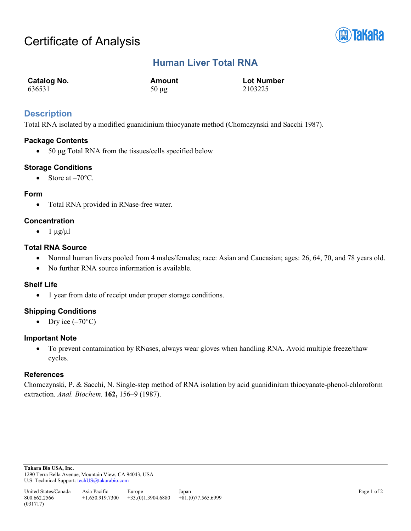

# **Human Liver Total RNA**

| Catalog No. | Amount     | <b>Lot Number</b> |
|-------------|------------|-------------------|
| 636531      | $50 \mu g$ | 2103225           |

## **Description**

Total RNA isolated by a modified guanidinium thiocyanate method (Chomczynski and Sacchi 1987).

## **Package Contents**

• 50 µg Total RNA from the tissues/cells specified below

## **Storage Conditions**

• Store at  $-70^{\circ}$ C.

## **Form**

• Total RNA provided in RNase-free water.

## **Concentration**

 $\bullet$  1  $\mu$ g/ $\mu$ l

## **Total RNA Source**

- Normal human livers pooled from 4 males/females; race: Asian and Caucasian; ages: 26, 64, 70, and 78 years old.
- No further RNA source information is available.

## **Shelf Life**

• 1 year from date of receipt under proper storage conditions.

## **Shipping Conditions**

• Dry ice  $(-70^{\circ}C)$ 

## **Important Note**

• To prevent contamination by RNases, always wear gloves when handling RNA. Avoid multiple freeze/thaw cycles.

## **References**

Chomczynski, P. & Sacchi, N. Single-step method of RNA isolation by acid guanidinium thiocyanate-phenol-chloroform extraction. *Anal. Biochem.* **162,** 156–9 (1987).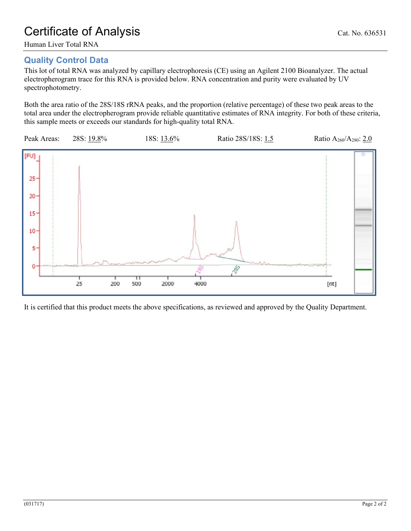Human Liver Total RNA

# **Quality Control Data**

This lot of total RNA was analyzed by capillary electrophoresis (CE) using an Agilent 2100 Bioanalyzer. The actual electropherogram trace for this RNA is provided below. RNA concentration and purity were evaluated by UV spectrophotometry.

Both the area ratio of the 28S/18S rRNA peaks, and the proportion (relative percentage) of these two peak areas to the total area under the electropherogram provide reliable quantitative estimates of RNA integrity. For both of these criteria, this sample meets or exceeds our standards for high-quality total RNA.



It is certified that this product meets the above specifications, as reviewed and approved by the Quality Department.